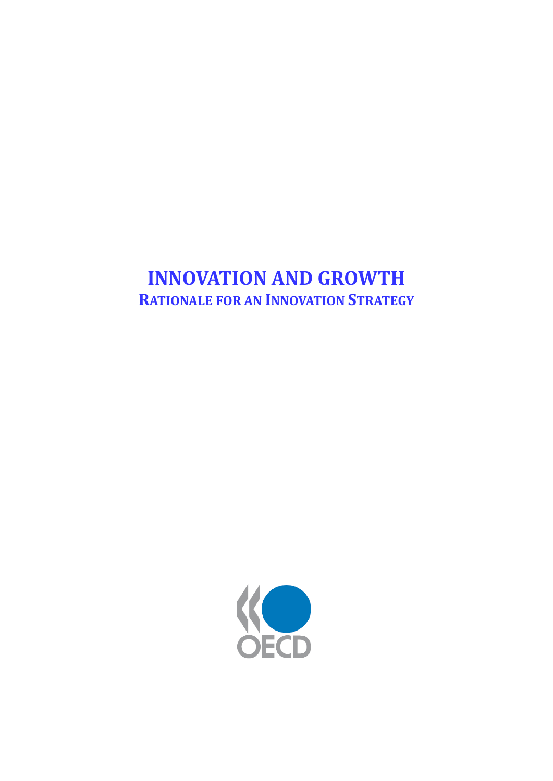# **INNOVATION AND GROWTH RATIONALE FOR AN INNOVATION STRATEGY**

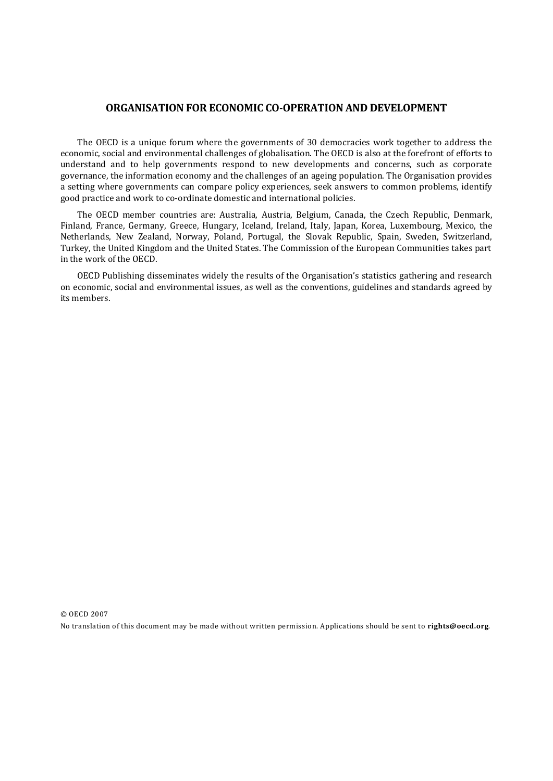#### **ORGANISATION FOR ECONOMIC CO-OPERATION AND DEVELOPMENT**

The OECD is a unique forum where the governments of 30 democracies work together to address the economic, social and environmental challenges of globalisation. The OECD is also at the forefront of efforts to understand and to help governments respond to new developments and concerns, such as corporate governance, the information economy and the challenges of an ageing population. The Organisation provides a setting where governments can compare policy experiences, seek answers to common problems, identify good practice and work to co-ordinate domestic and international policies.

The OECD member countries are: Australia, Austria, Belgium, Canada, the Czech Republic, Denmark, Finland, France, Germany, Greece, Hungary, Iceland, Ireland, Italy, Japan, Korea, Luxembourg, Mexico, the Netherlands, New Zealand, Norway, Poland, Portugal, the Slovak Republic, Spain, Sweden, Switzerland, Turkey, the United Kingdom and the United States. The Commission of the European Communities takes part in the work of the OECD.

OECD Publishing disseminates widely the results of the Organisation's statistics gathering and research on economic, social and environmental issues, as well as the conventions, guidelines and standards agreed by its members.

© OECD 2007 No translation of this document may be made without written permission. Applications should be sent to **[rights@oecd.org](mailto:rights@oecd.org)**.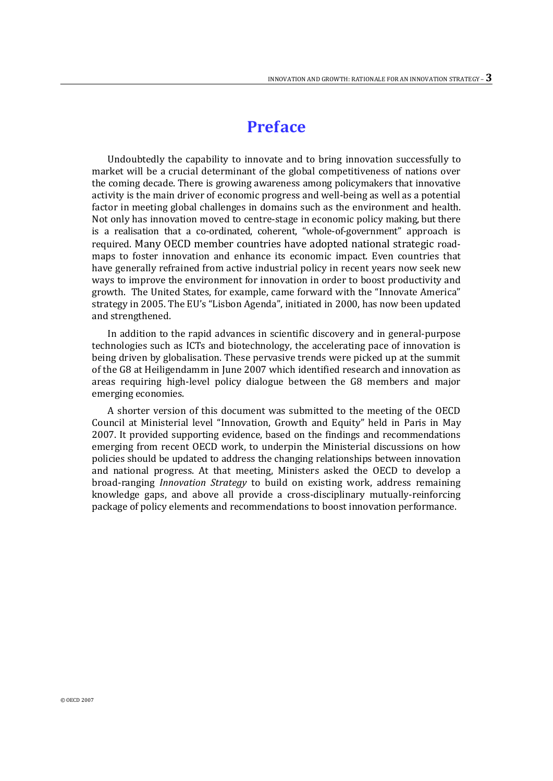## **Preface**

Undoubtedly the capability to innovate and to bring innovation successfully to market will be a crucial determinant of the global competitiveness of nations over the coming decade. There is growing awareness among policymakers that innovative activity is the main driver of economic progress and well-being as well as a potential factor in meeting global challenges in domains such as the environment and health. Not only has innovation moved to centre-stage in economic policy making, but there is a realisation that a co-ordinated, coherent, "whole-of-government" approach is required. Many OECD member countries have adopted national strategic roadmaps to foster innovation and enhance its economic impact. Even countries that have generally refrained from active industrial policy in recent years now seek new ways to improve the environment for innovation in order to boost productivity and growth. The United States, for example, came forward with the "Innovate America" strategy in 2005. The EU's "Lisbon Agenda", initiated in 2000, has now been updated and strengthened.

In addition to the rapid advances in scientific discovery and in general-purpose technologies such as ICTs and biotechnology, the accelerating pace of innovation is being driven by globalisation. These pervasive trends were picked up at the summit of the G8 at Heiligendamm in June 2007 which identified research and innovation as areas requiring high-level policy dialogue between the G8 members and major emerging economies.

A shorter version of this document was submitted to the meeting of the OECD Council at Ministerial level "Innovation, Growth and Equity" held in Paris in May 2007. It provided supporting evidence, based on the findings and recommendations emerging from recent OECD work, to underpin the Ministerial discussions on how policies should be updated to address the changing relationships between innovation and national progress. At that meeting, Ministers asked the OECD to develop a broad-ranging *Innovation Strategy* to build on existing work, address remaining knowledge gaps, and above all provide a cross-disciplinary mutually-reinforcing package of policy elements and recommendations to boost innovation performance.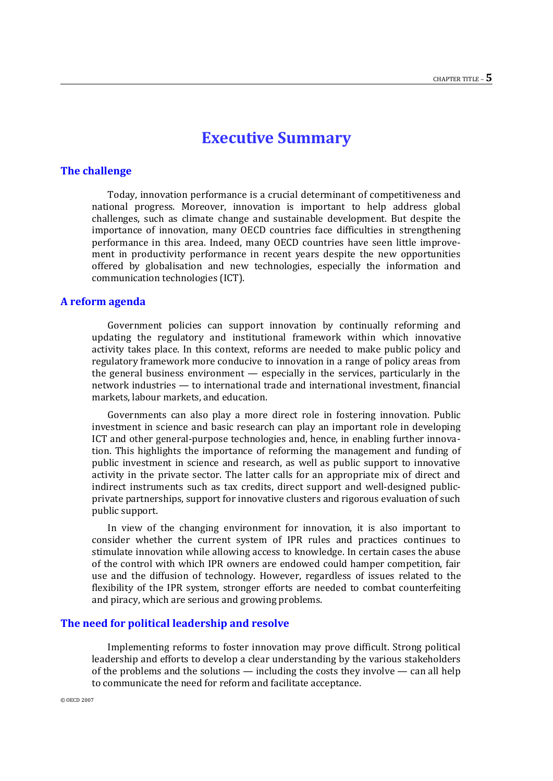### **Executive Summary**

#### **The challenge**

Today, innovation performance is a crucial determinant of competitiveness and national progress. Moreover, innovation is important to help address global challenges, such as climate change and sustainable development. But despite the importance of innovation, many OECD countries face difficulties in strengthening performance in this area. Indeed, many OECD countries have seen little improvement in productivity performance in recent years despite the new opportunities offered by globalisation and new technologies, especially the information and communication technologies (ICT).

#### **A reform agenda**

Government policies can support innovation by continually reforming and updating the regulatory and institutional framework within which innovative activity takes place. In this context, reforms are needed to make public policy and regulatory framework more conducive to innovation in a range of policy areas from the general business environment — especially in the services, particularly in the network industries — to international trade and international investment, financial markets, labour markets, and education.

Governments can also play a more direct role in fostering innovation. Public investment in science and basic research can play an important role in developing ICT and other general-purpose technologies and, hence, in enabling further innovation. This highlights the importance of reforming the management and funding of public investment in science and research, as well as public support to innovative activity in the private sector. The latter calls for an appropriate mix of direct and indirect instruments such as tax credits, direct support and well-designed publicprivate partnerships, support for innovative clusters and rigorous evaluation of such public support.

In view of the changing environment for innovation, it is also important to consider whether the current system of IPR rules and practices continues to stimulate innovation while allowing access to knowledge. In certain cases the abuse of the control with which IPR owners are endowed could hamper competition, fair use and the diffusion of technology. However, regardless of issues related to the flexibility of the IPR system, stronger efforts are needed to combat counterfeiting and piracy, which are serious and growing problems.

#### **The need for political leadership and resolve**

Implementing reforms to foster innovation may prove difficult. Strong political leadership and efforts to develop a clear understanding by the various stakeholders of the problems and the solutions — including the costs they involve — can all help to communicate the need for reform and facilitate acceptance.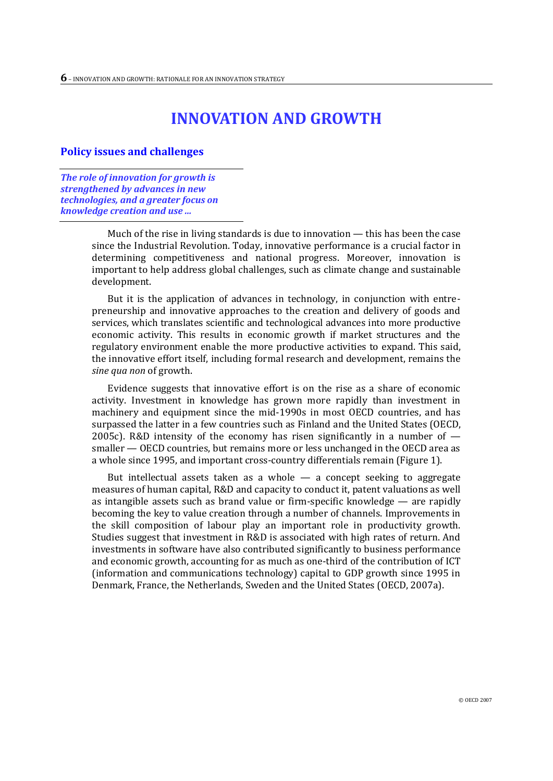# **INNOVATION AND GROWTH**

#### **Policy issues and challenges**

*The role of innovation for growth is strengthened by advances in new technologies, and a greater focus on knowledge creation and use ...* 

> Much of the rise in living standards is due to innovation — this has been the case since the Industrial Revolution. Today, innovative performance is a crucial factor in determining competitiveness and national progress. Moreover, innovation is important to help address global challenges, such as climate change and sustainable development.

> But it is the application of advances in technology, in conjunction with entrepreneurship and innovative approaches to the creation and delivery of goods and services, which translates scientific and technological advances into more productive economic activity. This results in economic growth if market structures and the regulatory environment enable the more productive activities to expand. This said, the innovative effort itself, including formal research and development, remains the *sine qua non* of growth.

> Evidence suggests that innovative effort is on the rise as a share of economic activity. Investment in knowledge has grown more rapidly than investment in machinery and equipment since the mid-1990s in most OECD countries, and has surpassed the latter in a few countries such as Finland and the United States (OECD, 2005c). R&D intensity of the economy has risen significantly in a number of smaller — OECD countries, but remains more or less unchanged in the OECD area as a whole since 1995, and important cross-country differentials remain (Figure 1).

> But intellectual assets taken as a whole  $-$  a concept seeking to aggregate measures of human capital, R&D and capacity to conduct it, patent valuations as well as intangible assets such as brand value or firm-specific knowledge — are rapidly becoming the key to value creation through a number of channels. Improvements in the skill composition of labour play an important role in productivity growth. Studies suggest that investment in R&D is associated with high rates of return. And investments in software have also contributed significantly to business performance and economic growth, accounting for as much as one-third of the contribution of ICT (information and communications technology) capital to GDP growth since 1995 in Denmark, France, the Netherlands, Sweden and the United States (OECD, 2007a).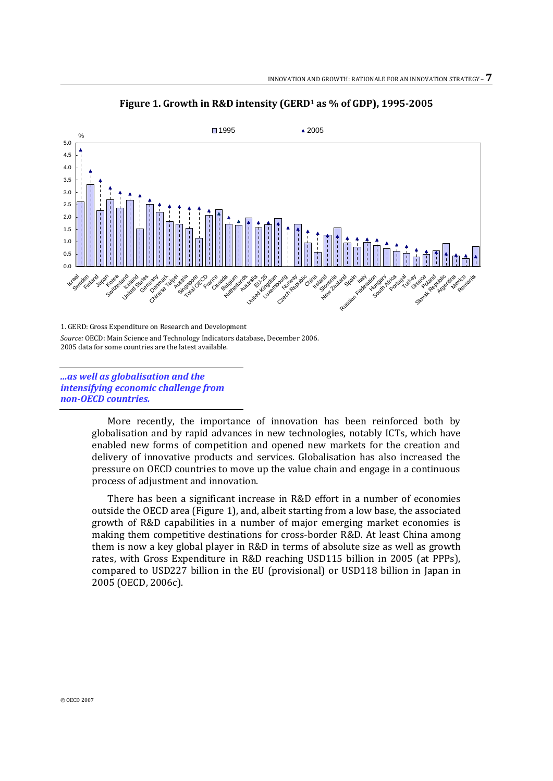

**Figure 1. Growth in R&D intensity (GERD<sup>1</sup> as % of GDP), 1995-2005**

1. GERD: Gross Expenditure on Research and Development *Source:* OECD: Main Science and Technology Indicators database, December 2006. 2005 data for some countries are the latest available.

*...as well as globalisation and the intensifying economic challenge from non-OECD countries.*

> More recently, the importance of innovation has been reinforced both by globalisation and by rapid advances in new technologies, notably ICTs, which have enabled new forms of competition and opened new markets for the creation and delivery of innovative products and services. Globalisation has also increased the pressure on OECD countries to move up the value chain and engage in a continuous process of adjustment and innovation.

> There has been a significant increase in R&D effort in a number of economies outside the OECD area (Figure 1), and, albeit starting from a low base, the associated growth of R&D capabilities in a number of major emerging market economies is making them competitive destinations for cross-border R&D. At least China among them is now a key global player in R&D in terms of absolute size as well as growth rates, with Gross Expenditure in R&D reaching USD115 billion in 2005 (at PPPs), compared to USD227 billion in the EU (provisional) or USD118 billion in Japan in 2005 (OECD, 2006c).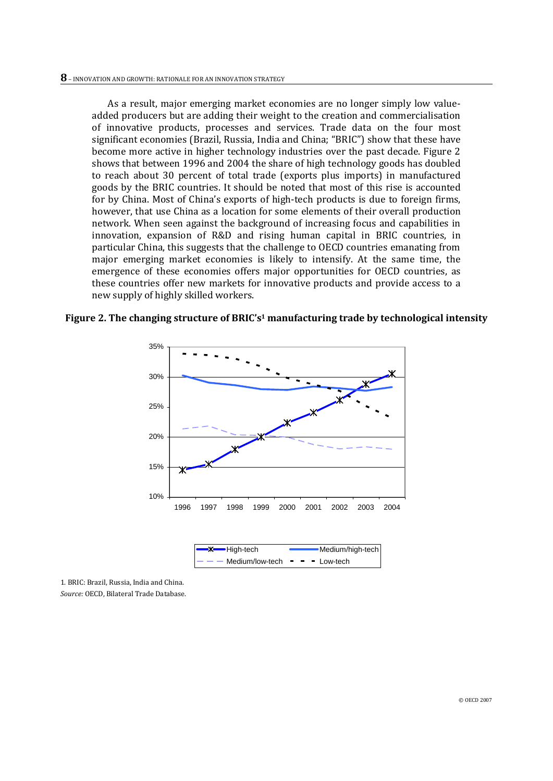As a result, major emerging market economies are no longer simply low valueadded producers but are adding their weight to the creation and commercialisation of innovative products, processes and services. Trade data on the four most significant economies (Brazil, Russia, India and China; "BRIC") show that these have become more active in higher technology industries over the past decade. Figure 2 shows that between 1996 and 2004 the share of high technology goods has doubled to reach about 30 percent of total trade (exports plus imports) in manufactured goods by the BRIC countries. It should be noted that most of this rise is accounted for by China. Most of China's exports of high-tech products is due to foreign firms, however, that use China as a location for some elements of their overall production network. When seen against the background of increasing focus and capabilities in innovation, expansion of R&D and rising human capital in BRIC countries, in particular China, this suggests that the challenge to OECD countries emanating from major emerging market economies is likely to intensify. At the same time, the emergence of these economies offers major opportunities for OECD countries, as these countries offer new markets for innovative products and provide access to a new supply of highly skilled workers.

**Figure 2. The changing structure of BRIC's<sup>1</sup> manufacturing trade by technological intensity**



1. BRIC: Brazil, Russia, India and China. *Source:* OECD, Bilateral Trade Database.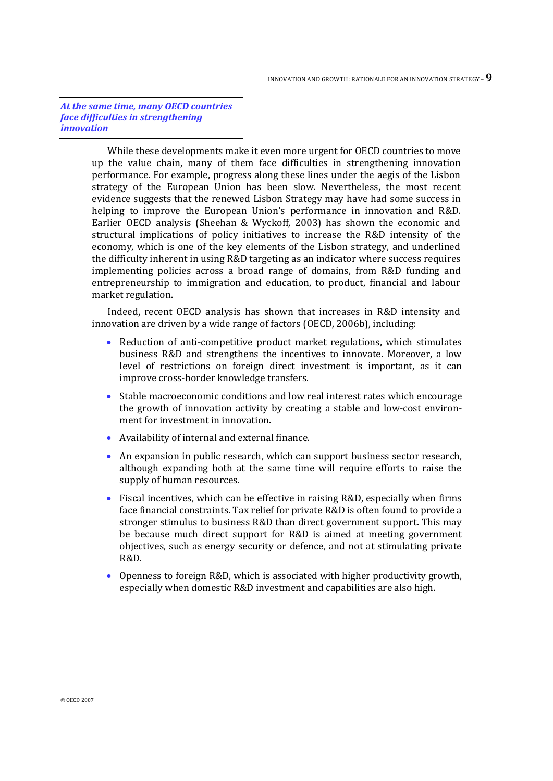*At the same time, many OECD countries face difficulties in strengthening innovation*

> While these developments make it even more urgent for OECD countries to move up the value chain, many of them face difficulties in strengthening innovation performance. For example, progress along these lines under the aegis of the Lisbon strategy of the European Union has been slow. Nevertheless, the most recent evidence suggests that the renewed Lisbon Strategy may have had some success in helping to improve the European Union's performance in innovation and R&D. Earlier OECD analysis (Sheehan & Wyckoff, 2003) has shown the economic and structural implications of policy initiatives to increase the R&D intensity of the economy, which is one of the key elements of the Lisbon strategy, and underlined the difficulty inherent in using R&D targeting as an indicator where success requires implementing policies across a broad range of domains, from R&D funding and entrepreneurship to immigration and education, to product, financial and labour market regulation.

> Indeed, recent OECD analysis has shown that increases in R&D intensity and innovation are driven by a wide range of factors (OECD, 2006b), including:

- Reduction of anti-competitive product market regulations, which stimulates business R&D and strengthens the incentives to innovate. Moreover, a low level of restrictions on foreign direct investment is important, as it can improve cross-border knowledge transfers.
- Stable macroeconomic conditions and low real interest rates which encourage the growth of innovation activity by creating a stable and low-cost environment for investment in innovation.
- Availability of internal and external finance.
- An expansion in public research, which can support business sector research, although expanding both at the same time will require efforts to raise the supply of human resources.
- Fiscal incentives, which can be effective in raising R&D, especially when firms face financial constraints. Tax relief for private R&D is often found to provide a stronger stimulus to business R&D than direct government support. This may be because much direct support for R&D is aimed at meeting government objectives, such as energy security or defence, and not at stimulating private R&D.
- Openness to foreign R&D, which is associated with higher productivity growth, especially when domestic R&D investment and capabilities are also high.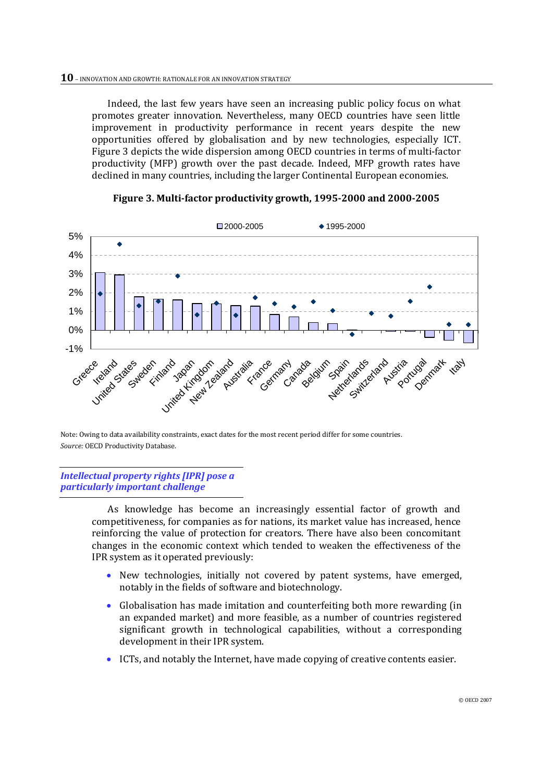Indeed, the last few years have seen an increasing public policy focus on what promotes greater innovation. Nevertheless, many OECD countries have seen little improvement in productivity performance in recent years despite the new opportunities offered by globalisation and by new technologies, especially ICT. Figure 3 depicts the wide dispersion among OECD countries in terms of multi-factor productivity (MFP) growth over the past decade. Indeed, MFP growth rates have declined in many countries, including the larger Continental European economies.



#### **Figure 3. Multi-factor productivity growth, 1995-2000 and 2000-2005**

Note: Owing to data availability constraints, exact dates for the most recent period differ for some countries. *Source:* OECD Productivity Database.

*Intellectual property rights [IPR] pose a particularly important challenge*

> As knowledge has become an increasingly essential factor of growth and competitiveness, for companies as for nations, its market value has increased, hence reinforcing the value of protection for creators. There have also been concomitant changes in the economic context which tended to weaken the effectiveness of the IPR system as it operated previously:

- New technologies, initially not covered by patent systems, have emerged, notably in the fields of software and biotechnology.
- Globalisation has made imitation and counterfeiting both more rewarding (in an expanded market) and more feasible, as a number of countries registered significant growth in technological capabilities, without a corresponding development in their IPR system.
- ICTs, and notably the Internet, have made copying of creative contents easier.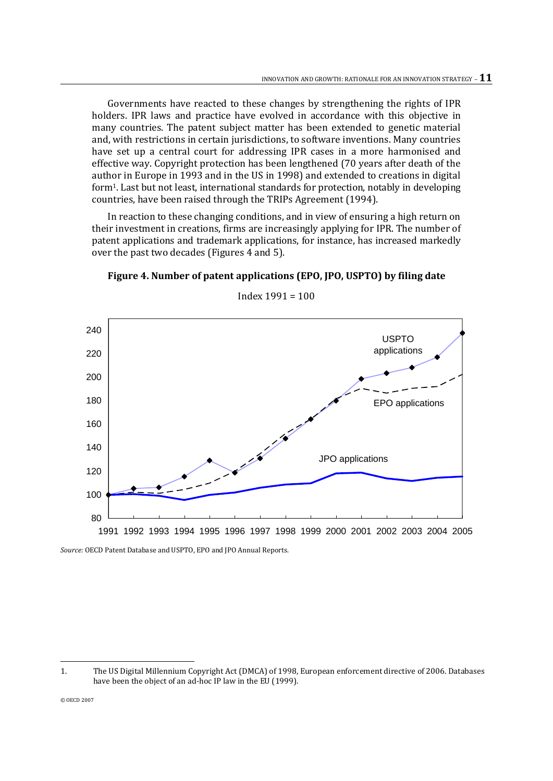Governments have reacted to these changes by strengthening the rights of IPR holders. IPR laws and practice have evolved in accordance with this objective in many countries. The patent subject matter has been extended to genetic material and, with restrictions in certain jurisdictions, to software inventions. Many countries have set up a central court for addressing IPR cases in a more harmonised and effective way. Copyright protection has been lengthened (70 years after death of the author in Europe in 1993 and in the US in 1998) and extended to creations in digital form1. Last but not least, international standards for protection, notably in developing countries, have been raised through the TRIPs Agreement (1994).

In reaction to these changing conditions, and in view of ensuring a high return on their investment in creations, firms are increasingly applying for IPR. The number of patent applications and trademark applications, for instance, has increased markedly over the past two decades (Figures 4 and 5).





Index 1991 = 100

*Source:* OECD Patent Database and USPTO, EPO and JPO Annual Reports.

© OECD 2007

 $\overline{a}$ 

<sup>1.</sup> The US Digital Millennium Copyright Act (DMCA) of 1998, European enforcement directive of 2006. Databases have been the object of an ad-hoc IP law in the EU (1999).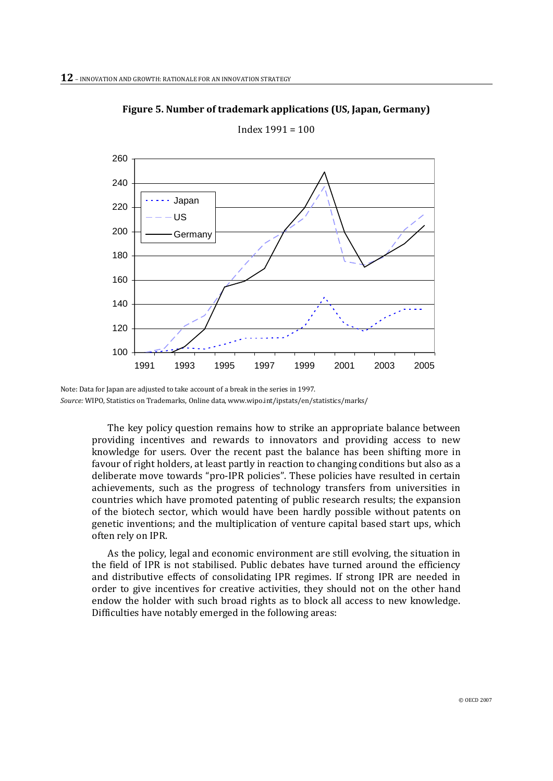

**Figure 5. Number of trademark applications (US, Japan, Germany)**

Index 1991 = 100

The key policy question remains how to strike an appropriate balance between providing incentives and rewards to innovators and providing access to new knowledge for users. Over the recent past the balance has been shifting more in favour of right holders, at least partly in reaction to changing conditions but also as a deliberate move towards "pro-IPR policies". These policies have resulted in certain achievements, such as the progress of technology transfers from universities in countries which have promoted patenting of public research results; the expansion of the biotech sector, which would have been hardly possible without patents on genetic inventions; and the multiplication of venture capital based start ups, which often rely on IPR.

As the policy, legal and economic environment are still evolving, the situation in the field of IPR is not stabilised. Public debates have turned around the efficiency and distributive effects of consolidating IPR regimes. If strong IPR are needed in order to give incentives for creative activities, they should not on the other hand endow the holder with such broad rights as to block all access to new knowledge. Difficulties have notably emerged in the following areas:

Note: Data for Japan are adjusted to take account of a break in the series in 1997. *Source:* WIPO, Statistics on Trademarks, Online data, www.wipo.int/ipstats/en/statistics/marks/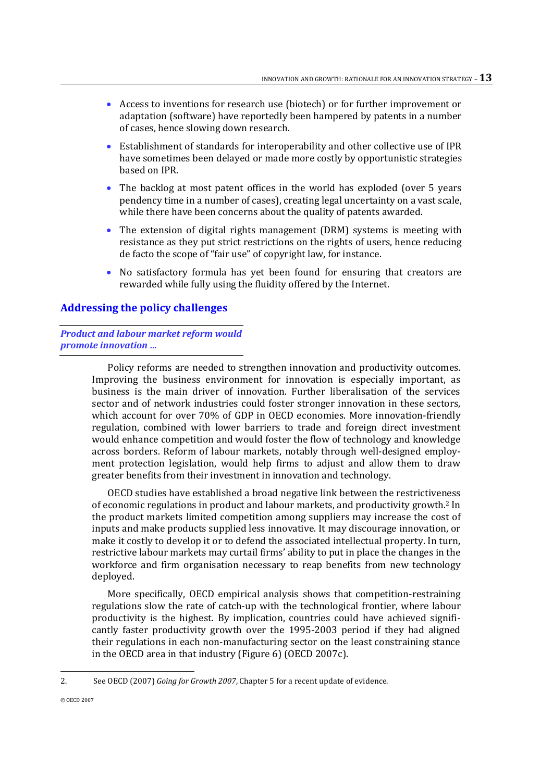- Access to inventions for research use (biotech) or for further improvement or adaptation (software) have reportedly been hampered by patents in a number of cases, hence slowing down research.
- Establishment of standards for interoperability and other collective use of IPR have sometimes been delayed or made more costly by opportunistic strategies based on IPR.
- The backlog at most patent offices in the world has exploded (over 5 years pendency time in a number of cases), creating legal uncertainty on a vast scale, while there have been concerns about the quality of patents awarded.
- The extension of digital rights management (DRM) systems is meeting with resistance as they put strict restrictions on the rights of users, hence reducing de facto the scope of "fair use" of copyright law, for instance.
- No satisfactory formula has yet been found for ensuring that creators are rewarded while fully using the fluidity offered by the Internet.

#### **Addressing the policy challenges**

#### *Product and labour market reform would promote innovation …*

Policy reforms are needed to strengthen innovation and productivity outcomes. Improving the business environment for innovation is especially important, as business is the main driver of innovation. Further liberalisation of the services sector and of network industries could foster stronger innovation in these sectors, which account for over 70% of GDP in OECD economies. More innovation-friendly regulation, combined with lower barriers to trade and foreign direct investment would enhance competition and would foster the flow of technology and knowledge across borders. Reform of labour markets, notably through well-designed employment protection legislation, would help firms to adjust and allow them to draw greater benefits from their investment in innovation and technology.

OECD studies have established a broad negative link between the restrictiveness of economic regulations in product and labour markets, and productivity growth.<sup>2</sup> In the product markets limited competition among suppliers may increase the cost of inputs and make products supplied less innovative. It may discourage innovation, or make it costly to develop it or to defend the associated intellectual property. In turn, restrictive labour markets may curtail firms' ability to put in place the changes in the workforce and firm organisation necessary to reap benefits from new technology deployed.

More specifically, OECD empirical analysis shows that competition-restraining regulations slow the rate of catch-up with the technological frontier, where labour productivity is the highest. By implication, countries could have achieved significantly faster productivity growth over the 1995-2003 period if they had aligned their regulations in each non-manufacturing sector on the least constraining stance in the OECD area in that industry (Figure 6) (OECD 2007c).

 $\overline{a}$ 

<sup>2.</sup> See OECD (2007) *Going for Growth 2007*, Chapter 5 for a recent update of evidence.

<sup>©</sup> OECD 2007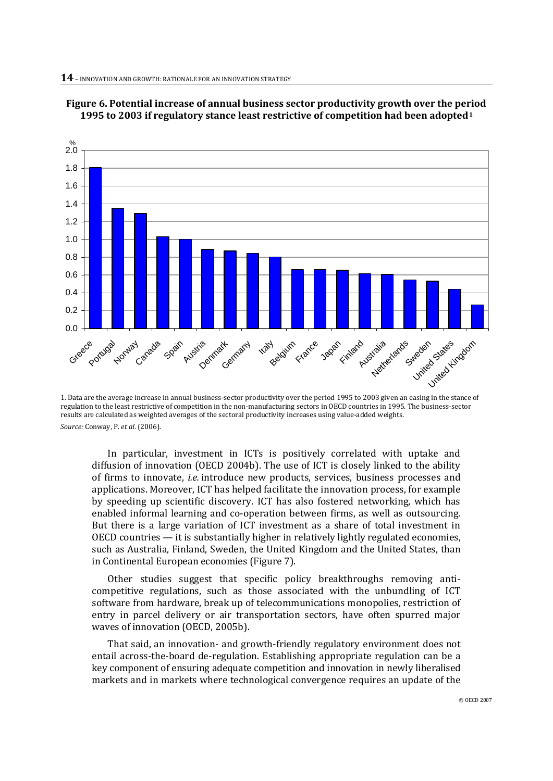



In particular, investment in ICTs is positively correlated with uptake and diffusion of innovation (OECD 2004b). The use of ICT is closely linked to the ability of firms to innovate, *i.e.* introduce new products, services, business processes and applications. Moreover, ICT has helped facilitate the innovation process, for example by speeding up scientific discovery. ICT has also fostered networking, which has enabled informal learning and co-operation between firms, as well as outsourcing. But there is a large variation of ICT investment as a share of total investment in OECD countries — it is substantially higher in relatively lightly regulated economies, such as Australia, Finland, Sweden, the United Kingdom and the United States, than in Continental European economies (Figure 7).

Other studies suggest that specific policy breakthroughs removing anticompetitive regulations, such as those associated with the unbundling of ICT software from hardware, break up of telecommunications monopolies, restriction of entry in parcel delivery or air transportation sectors, have often spurred major waves of innovation (OECD, 2005b).

That said, an innovation- and growth-friendly regulatory environment does not entail across-the-board de-regulation. Establishing appropriate regulation can be a key component of ensuring adequate competition and innovation in newly liberalised markets and in markets where technological convergence requires an update of the

<sup>1.</sup> Data are the average increase in annual business-sector productivity over the period 1995 to 2003 given an easing in the stance of regulation to the least restrictive of competition in the non-manufacturing sectors in OECD countries in 1995. The business-sector results are calculated as weighted averages of the sectoral productivity increases using value-added weights. *Source:* Conway, P. *et al*. (2006).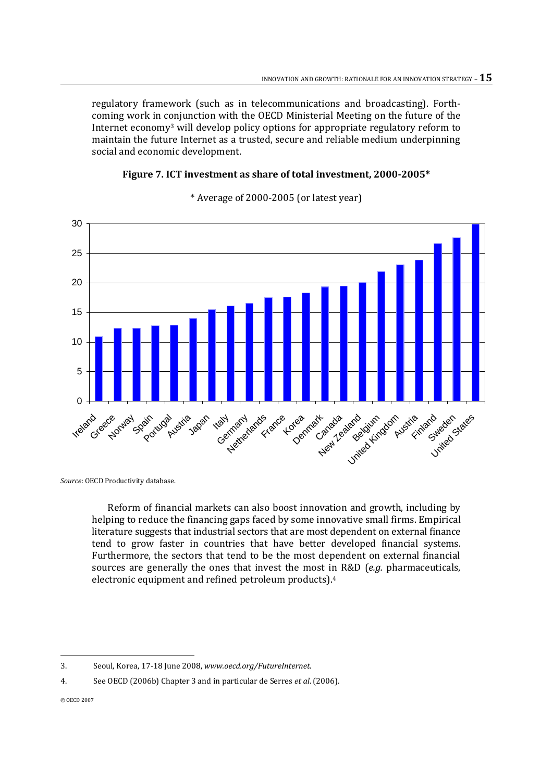regulatory framework (such as in telecommunications and broadcasting). Forthcoming work in conjunction with the OECD Ministerial Meeting on the future of the Internet economy<sup>3</sup> will develop policy options for appropriate regulatory reform to maintain the future Internet as a trusted, secure and reliable medium underpinning social and economic development.

#### **Figure 7. ICT investment as share of total investment, 2000-2005\***



\* Average of 2000-2005 (or latest year)

*Source*: OECD Productivity database.

Reform of financial markets can also boost innovation and growth, including by helping to reduce the financing gaps faced by some innovative small firms. Empirical literature suggests that industrial sectors that are most dependent on external finance tend to grow faster in countries that have better developed financial systems. Furthermore, the sectors that tend to be the most dependent on external financial sources are generally the ones that invest the most in R&D (*e.g.* pharmaceuticals, electronic equipment and refined petroleum products).<sup>4</sup>

 $\overline{a}$ 3. Seoul, Korea, 17-18 June 2008, *www.oecd.org/FutureInternet*.

<sup>4.</sup> See OECD (2006b) Chapter 3 and in particular de Serres *et al*. (2006).

<sup>©</sup> OECD 2007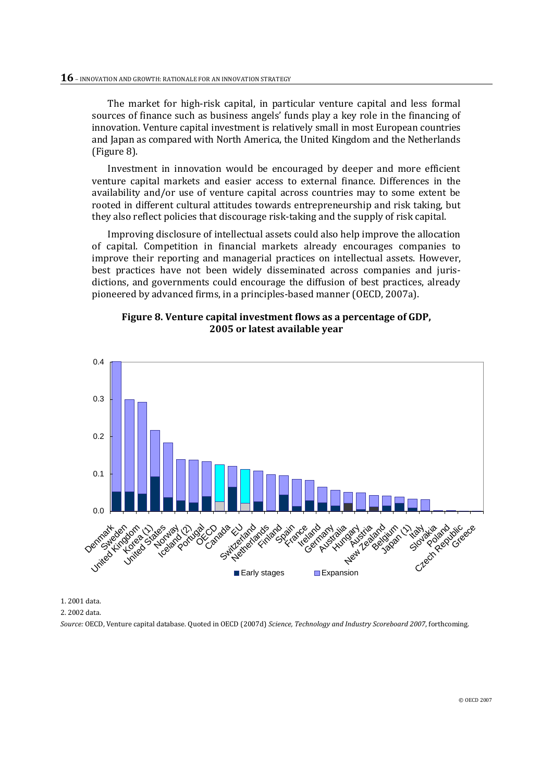The market for high-risk capital, in particular venture capital and less formal sources of finance such as business angels' funds play a key role in the financing of innovation. Venture capital investment is relatively small in most European countries and Japan as compared with North America, the United Kingdom and the Netherlands (Figure 8).

Investment in innovation would be encouraged by deeper and more efficient venture capital markets and easier access to external finance. Differences in the availability and/or use of venture capital across countries may to some extent be rooted in different cultural attitudes towards entrepreneurship and risk taking, but they also reflect policies that discourage risk-taking and the supply of risk capital.

Improving disclosure of intellectual assets could also help improve the allocation of capital. Competition in financial markets already encourages companies to improve their reporting and managerial practices on intellectual assets. However, best practices have not been widely disseminated across companies and jurisdictions, and governments could encourage the diffusion of best practices, already pioneered by advanced firms, in a principles-based manner (OECD, 2007a).





1. 2001 data.

2. 2002 data.

*Source:* OECD, Venture capital database. Quoted in OECD (2007d) *Science, Technology and Industry Scoreboard 2007*, forthcoming.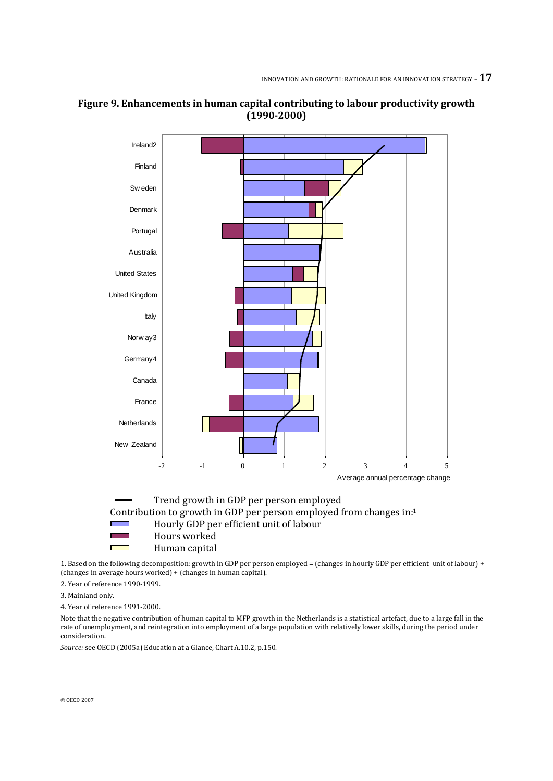



Contribution to growth in GDP per person employed from changes in:<sup>1</sup> Hourly GDP per efficient unit of labour Hours worked Human capital

1. Based on the following decomposition: growth in GDP per person employed = (changes in hourly GDP per efficient unit of labour) + (changes in average hours worked) + (changes in human capital).

2. Year of reference 1990-1999.

3. Mainland only.

4. Year of reference 1991-2000.

Note that the negative contribution of human capital to MFP growth in the Netherlands is a statistical artefact, due to a large fall in the rate of unemployment, and reintegration into employment of a large population with relatively lower skills, during the period under consideration.

*Source:* see OECD (2005a) Education at a Glance, Chart A.10.2, p.150.

© OECD 2007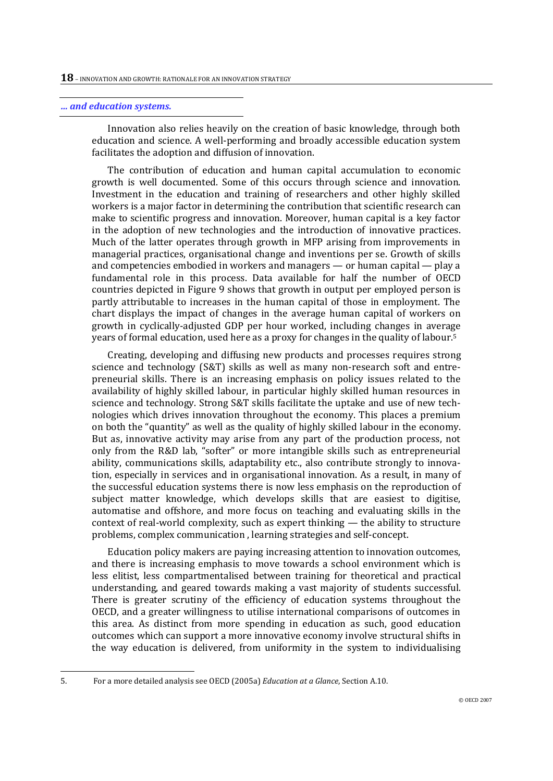#### *… and education systems.*

Innovation also relies heavily on the creation of basic knowledge, through both education and science. A well-performing and broadly accessible education system facilitates the adoption and diffusion of innovation.

The contribution of education and human capital accumulation to economic growth is well documented. Some of this occurs through science and innovation. Investment in the education and training of researchers and other highly skilled workers is a major factor in determining the contribution that scientific research can make to scientific progress and innovation. Moreover, human capital is a key factor in the adoption of new technologies and the introduction of innovative practices. Much of the latter operates through growth in MFP arising from improvements in managerial practices, organisational change and inventions per se. Growth of skills and competencies embodied in workers and managers — or human capital — play a fundamental role in this process. Data available for half the number of OECD countries depicted in Figure 9 shows that growth in output per employed person is partly attributable to increases in the human capital of those in employment. The chart displays the impact of changes in the average human capital of workers on growth in cyclically-adjusted GDP per hour worked, including changes in average years of formal education, used here as a proxy for changes in the quality of labour.<sup>5</sup>

Creating, developing and diffusing new products and processes requires strong science and technology (S&T) skills as well as many non-research soft and entrepreneurial skills. There is an increasing emphasis on policy issues related to the availability of highly skilled labour, in particular highly skilled human resources in science and technology. Strong S&T skills facilitate the uptake and use of new technologies which drives innovation throughout the economy. This places a premium on both the "quantity" as well as the quality of highly skilled labour in the economy. But as, innovative activity may arise from any part of the production process, not only from the R&D lab, "softer" or more intangible skills such as entrepreneurial ability, communications skills, adaptability etc., also contribute strongly to innovation, especially in services and in organisational innovation. As a result, in many of the successful education systems there is now less emphasis on the reproduction of subject matter knowledge, which develops skills that are easiest to digitise, automatise and offshore, and more focus on teaching and evaluating skills in the context of real-world complexity, such as expert thinking — the ability to structure problems, complex communication , learning strategies and self-concept.

Education policy makers are paying increasing attention to innovation outcomes, and there is increasing emphasis to move towards a school environment which is less elitist, less compartmentalised between training for theoretical and practical understanding, and geared towards making a vast majority of students successful. There is greater scrutiny of the efficiency of education systems throughout the OECD, and a greater willingness to utilise international comparisons of outcomes in this area. As distinct from more spending in education as such, good education outcomes which can support a more innovative economy involve structural shifts in the way education is delivered, from uniformity in the system to individualising

 $\overline{a}$ 

<sup>5.</sup> For a more detailed analysis see OECD (2005a) *Education at a Glance*, Section A.10.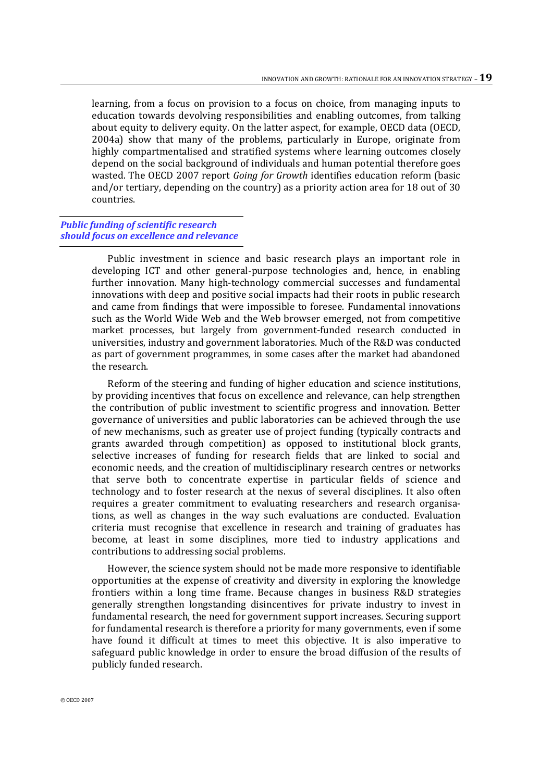learning, from a focus on provision to a focus on choice, from managing inputs to education towards devolving responsibilities and enabling outcomes, from talking about equity to delivery equity. On the latter aspect, for example, OECD data (OECD, 2004a) show that many of the problems, particularly in Europe, originate from highly compartmentalised and stratified systems where learning outcomes closely depend on the social background of individuals and human potential therefore goes wasted. The OECD 2007 report *Going for Growth* identifies education reform (basic and/or tertiary, depending on the country) as a priority action area for 18 out of 30 countries.

#### *Public funding of scientific research should focus on excellence and relevance*

Public investment in science and basic research plays an important role in developing ICT and other general-purpose technologies and, hence, in enabling further innovation. Many high-technology commercial successes and fundamental innovations with deep and positive social impacts had their roots in public research and came from findings that were impossible to foresee. Fundamental innovations such as the World Wide Web and the Web browser emerged, not from competitive market processes, but largely from government-funded research conducted in universities, industry and government laboratories. Much of the R&D was conducted as part of government programmes, in some cases after the market had abandoned the research.

Reform of the steering and funding of higher education and science institutions, by providing incentives that focus on excellence and relevance, can help strengthen the contribution of public investment to scientific progress and innovation. Better governance of universities and public laboratories can be achieved through the use of new mechanisms, such as greater use of project funding (typically contracts and grants awarded through competition) as opposed to institutional block grants, selective increases of funding for research fields that are linked to social and economic needs, and the creation of multidisciplinary research centres or networks that serve both to concentrate expertise in particular fields of science and technology and to foster research at the nexus of several disciplines. It also often requires a greater commitment to evaluating researchers and research organisations, as well as changes in the way such evaluations are conducted. Evaluation criteria must recognise that excellence in research and training of graduates has become, at least in some disciplines, more tied to industry applications and contributions to addressing social problems.

However, the science system should not be made more responsive to identifiable opportunities at the expense of creativity and diversity in exploring the knowledge frontiers within a long time frame. Because changes in business R&D strategies generally strengthen longstanding disincentives for private industry to invest in fundamental research, the need for government support increases. Securing support for fundamental research is therefore a priority for many governments, even if some have found it difficult at times to meet this objective. It is also imperative to safeguard public knowledge in order to ensure the broad diffusion of the results of publicly funded research.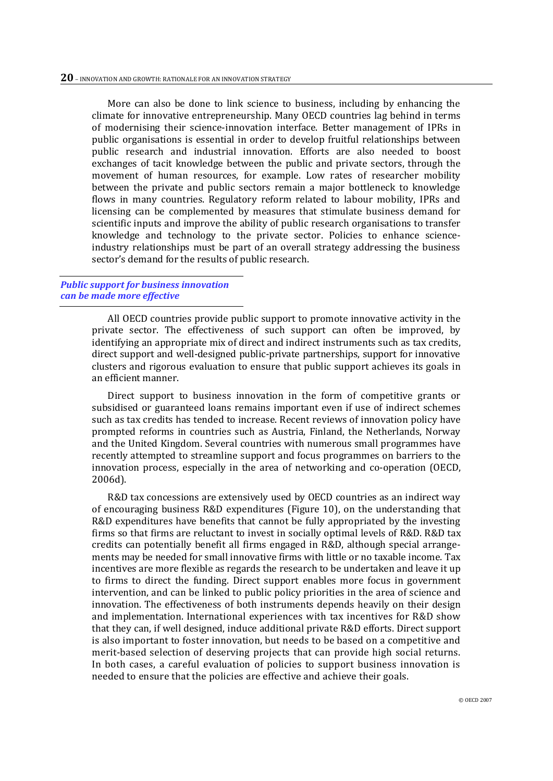More can also be done to link science to business, including by enhancing the climate for innovative entrepreneurship. Many OECD countries lag behind in terms of modernising their science-innovation interface. Better management of IPRs in public organisations is essential in order to develop fruitful relationships between public research and industrial innovation. Efforts are also needed to boost exchanges of tacit knowledge between the public and private sectors, through the movement of human resources, for example. Low rates of researcher mobility between the private and public sectors remain a major bottleneck to knowledge flows in many countries. Regulatory reform related to labour mobility, IPRs and licensing can be complemented by measures that stimulate business demand for scientific inputs and improve the ability of public research organisations to transfer knowledge and technology to the private sector. Policies to enhance scienceindustry relationships must be part of an overall strategy addressing the business sector's demand for the results of public research.

#### *Public support for business innovation can be made more effective*

All OECD countries provide public support to promote innovative activity in the private sector. The effectiveness of such support can often be improved, by identifying an appropriate mix of direct and indirect instruments such as tax credits, direct support and well-designed public-private partnerships, support for innovative clusters and rigorous evaluation to ensure that public support achieves its goals in an efficient manner.

Direct support to business innovation in the form of competitive grants or subsidised or guaranteed loans remains important even if use of indirect schemes such as tax credits has tended to increase. Recent reviews of innovation policy have prompted reforms in countries such as Austria, Finland, the Netherlands, Norway and the United Kingdom. Several countries with numerous small programmes have recently attempted to streamline support and focus programmes on barriers to the innovation process, especially in the area of networking and co-operation (OECD, 2006d).

R&D tax concessions are extensively used by OECD countries as an indirect way of encouraging business R&D expenditures (Figure 10), on the understanding that R&D expenditures have benefits that cannot be fully appropriated by the investing firms so that firms are reluctant to invest in socially optimal levels of R&D. R&D tax credits can potentially benefit all firms engaged in R&D, although special arrangements may be needed for small innovative firms with little or no taxable income. Tax incentives are more flexible as regards the research to be undertaken and leave it up to firms to direct the funding. Direct support enables more focus in government intervention, and can be linked to public policy priorities in the area of science and innovation. The effectiveness of both instruments depends heavily on their design and implementation. International experiences with tax incentives for R&D show that they can, if well designed, induce additional private R&D efforts. Direct support is also important to foster innovation, but needs to be based on a competitive and merit-based selection of deserving projects that can provide high social returns. In both cases, a careful evaluation of policies to support business innovation is needed to ensure that the policies are effective and achieve their goals.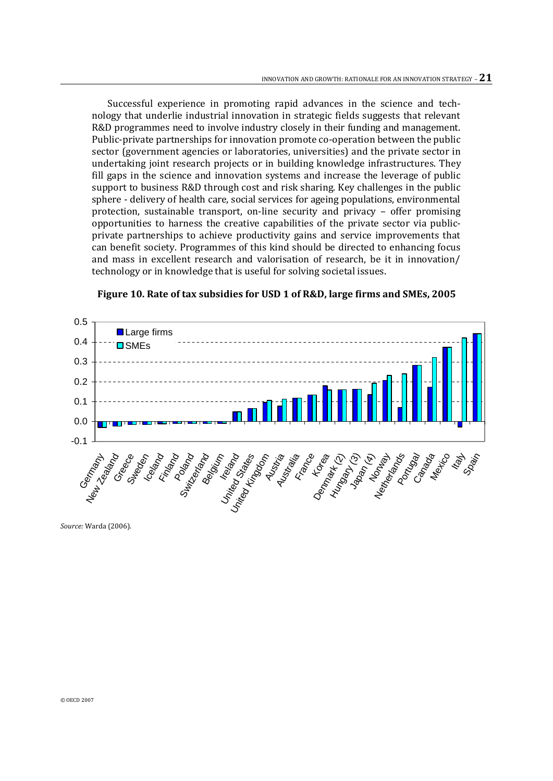Successful experience in promoting rapid advances in the science and technology that underlie industrial innovation in strategic fields suggests that relevant R&D programmes need to involve industry closely in their funding and management. Public-private partnerships for innovation promote co-operation between the public sector (government agencies or laboratories, universities) and the private sector in undertaking joint research projects or in building knowledge infrastructures. They fill gaps in the science and innovation systems and increase the leverage of public support to business R&D through cost and risk sharing. Key challenges in the public sphere - delivery of health care, social services for ageing populations, environmental protection, sustainable transport, on-line security and privacy – offer promising opportunities to harness the creative capabilities of the private sector via publicprivate partnerships to achieve productivity gains and service improvements that can benefit society. Programmes of this kind should be directed to enhancing focus and mass in excellent research and valorisation of research, be it in innovation/ technology or in knowledge that is useful for solving societal issues.



**Figure 10. Rate of tax subsidies for USD 1 of R&D, large firms and SMEs, 2005**

*Source:* Warda (2006).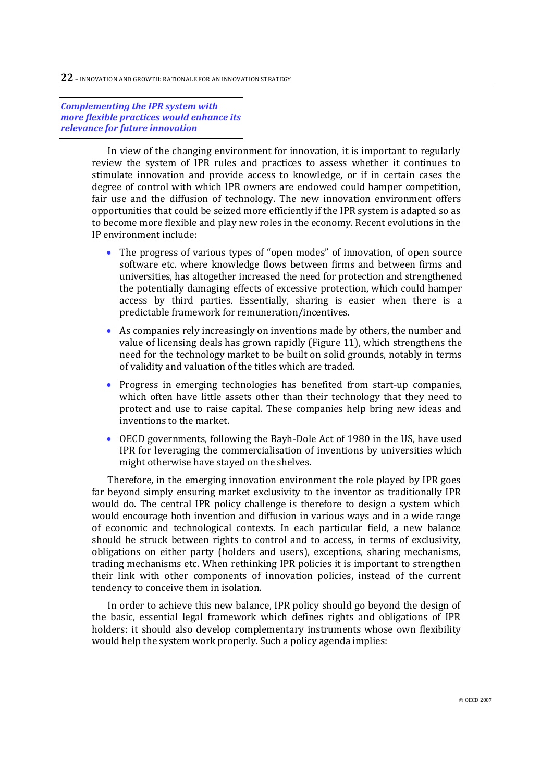*Complementing the IPR system with more flexible practices would enhance its relevance for future innovation*

> In view of the changing environment for innovation, it is important to regularly review the system of IPR rules and practices to assess whether it continues to stimulate innovation and provide access to knowledge, or if in certain cases the degree of control with which IPR owners are endowed could hamper competition, fair use and the diffusion of technology. The new innovation environment offers opportunities that could be seized more efficiently if the IPR system is adapted so as to become more flexible and play new roles in the economy. Recent evolutions in the IP environment include:

- The progress of various types of "open modes" of innovation, of open source software etc. where knowledge flows between firms and between firms and universities, has altogether increased the need for protection and strengthened the potentially damaging effects of excessive protection, which could hamper access by third parties. Essentially, sharing is easier when there is a predictable framework for remuneration/incentives.
- As companies rely increasingly on inventions made by others, the number and value of licensing deals has grown rapidly (Figure 11), which strengthens the need for the technology market to be built on solid grounds, notably in terms of validity and valuation of the titles which are traded.
- Progress in emerging technologies has benefited from start-up companies, which often have little assets other than their technology that they need to protect and use to raise capital. These companies help bring new ideas and inventions to the market.
- OECD governments, following the Bayh-Dole Act of 1980 in the US, have used IPR for leveraging the commercialisation of inventions by universities which might otherwise have stayed on the shelves.

Therefore, in the emerging innovation environment the role played by IPR goes far beyond simply ensuring market exclusivity to the inventor as traditionally IPR would do. The central IPR policy challenge is therefore to design a system which would encourage both invention and diffusion in various ways and in a wide range of economic and technological contexts. In each particular field, a new balance should be struck between rights to control and to access, in terms of exclusivity, obligations on either party (holders and users), exceptions, sharing mechanisms, trading mechanisms etc. When rethinking IPR policies it is important to strengthen their link with other components of innovation policies, instead of the current tendency to conceive them in isolation.

In order to achieve this new balance, IPR policy should go beyond the design of the basic, essential legal framework which defines rights and obligations of IPR holders: it should also develop complementary instruments whose own flexibility would help the system work properly. Such a policy agenda implies: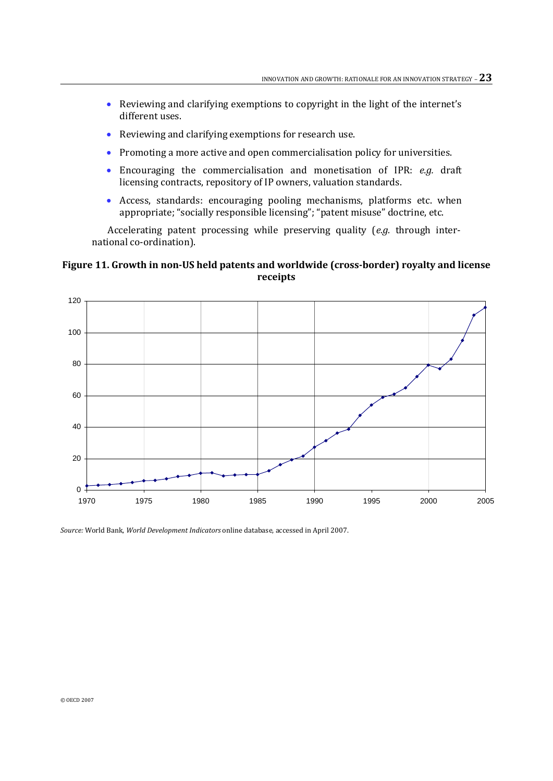- Reviewing and clarifying exemptions to copyright in the light of the internet's different uses.
- Reviewing and clarifying exemptions for research use.
- Promoting a more active and open commercialisation policy for universities.
- Encouraging the commercialisation and monetisation of IPR: *e.g.* draft licensing contracts, repository of IP owners, valuation standards.
- Access, standards: encouraging pooling mechanisms, platforms etc. when appropriate; "socially responsible licensing"; "patent misuse" doctrine, etc.

Accelerating patent processing while preserving quality (*e.g.* through international co-ordination).

#### **Figure 11. Growth in non-US held patents and worldwide (cross-border) royalty and license receipts**



*Source:* World Bank, *World Development Indicators* online database, accessed in April 2007.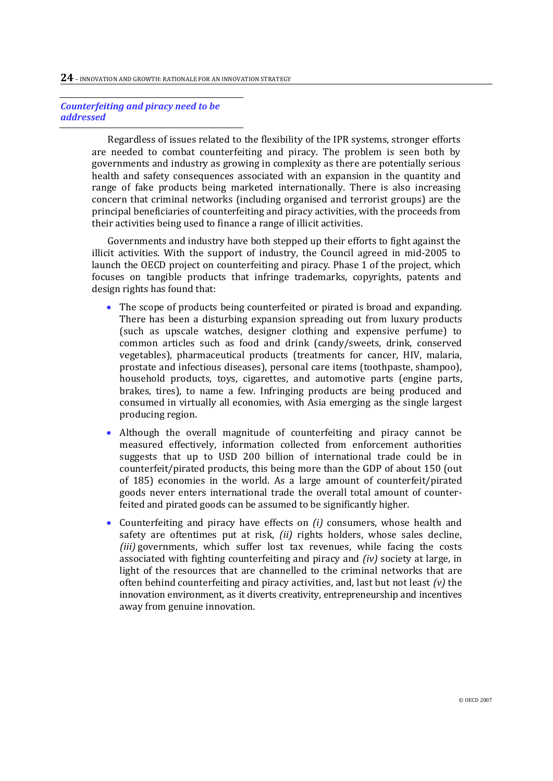#### *Counterfeiting and piracy need to be addressed*

Regardless of issues related to the flexibility of the IPR systems, stronger efforts are needed to combat counterfeiting and piracy. The problem is seen both by governments and industry as growing in complexity as there are potentially serious health and safety consequences associated with an expansion in the quantity and range of fake products being marketed internationally. There is also increasing concern that criminal networks (including organised and terrorist groups) are the principal beneficiaries of counterfeiting and piracy activities, with the proceeds from their activities being used to finance a range of illicit activities.

Governments and industry have both stepped up their efforts to fight against the illicit activities. With the support of industry, the Council agreed in mid-2005 to launch the OECD project on counterfeiting and piracy. Phase 1 of the project, which focuses on tangible products that infringe trademarks, copyrights, patents and design rights has found that:

- The scope of products being counterfeited or pirated is broad and expanding. There has been a disturbing expansion spreading out from luxury products (such as upscale watches, designer clothing and expensive perfume) to common articles such as food and drink (candy/sweets, drink, conserved vegetables), pharmaceutical products (treatments for cancer, HIV, malaria, prostate and infectious diseases), personal care items (toothpaste, shampoo), household products, toys, cigarettes, and automotive parts (engine parts, brakes, tires), to name a few. Infringing products are being produced and consumed in virtually all economies, with Asia emerging as the single largest producing region.
- Although the overall magnitude of counterfeiting and piracy cannot be measured effectively, information collected from enforcement authorities suggests that up to USD 200 billion of international trade could be in counterfeit/pirated products, this being more than the GDP of about 150 (out of 185) economies in the world. As a large amount of counterfeit/pirated goods never enters international trade the overall total amount of counterfeited and pirated goods can be assumed to be significantly higher.
- Counterfeiting and piracy have effects on *(i)* consumers, whose health and safety are oftentimes put at risk, *(ii)* rights holders, whose sales decline, *(iii)* governments, which suffer lost tax revenues, while facing the costs associated with fighting counterfeiting and piracy and *(iv)* society at large, in light of the resources that are channelled to the criminal networks that are often behind counterfeiting and piracy activities, and, last but not least *(v)* the innovation environment, as it diverts creativity, entrepreneurship and incentives away from genuine innovation.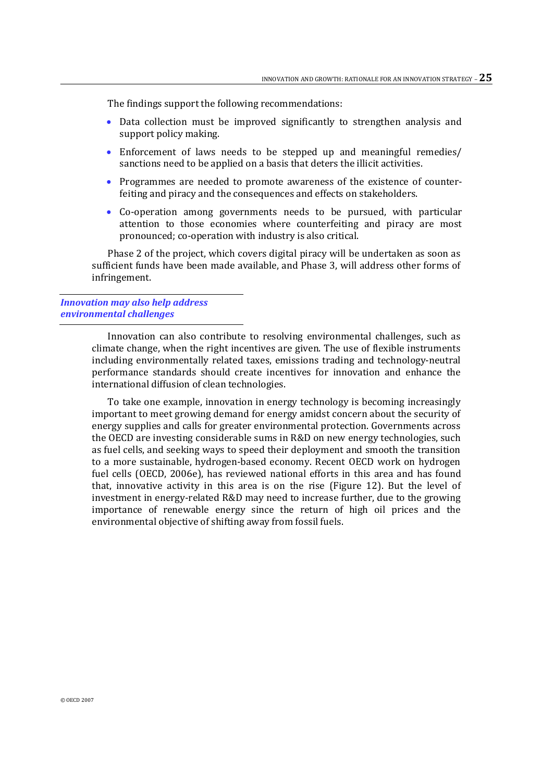The findings support the following recommendations:

- Data collection must be improved significantly to strengthen analysis and support policy making.
- Enforcement of laws needs to be stepped up and meaningful remedies/ sanctions need to be applied on a basis that deters the illicit activities.
- Programmes are needed to promote awareness of the existence of counterfeiting and piracy and the consequences and effects on stakeholders.
- Co-operation among governments needs to be pursued, with particular attention to those economies where counterfeiting and piracy are most pronounced; co-operation with industry is also critical.

Phase 2 of the project, which covers digital piracy will be undertaken as soon as sufficient funds have been made available, and Phase 3, will address other forms of infringement.

#### *Innovation may also help address environmental challenges*

Innovation can also contribute to resolving environmental challenges, such as climate change, when the right incentives are given. The use of flexible instruments including environmentally related taxes, emissions trading and technology-neutral performance standards should create incentives for innovation and enhance the international diffusion of clean technologies.

To take one example, innovation in energy technology is becoming increasingly important to meet growing demand for energy amidst concern about the security of energy supplies and calls for greater environmental protection. Governments across the OECD are investing considerable sums in R&D on new energy technologies, such as fuel cells, and seeking ways to speed their deployment and smooth the transition to a more sustainable, hydrogen-based economy. Recent OECD work on hydrogen fuel cells (OECD, 2006e), has reviewed national efforts in this area and has found that, innovative activity in this area is on the rise (Figure 12). But the level of investment in energy-related R&D may need to increase further, due to the growing importance of renewable energy since the return of high oil prices and the environmental objective of shifting away from fossil fuels.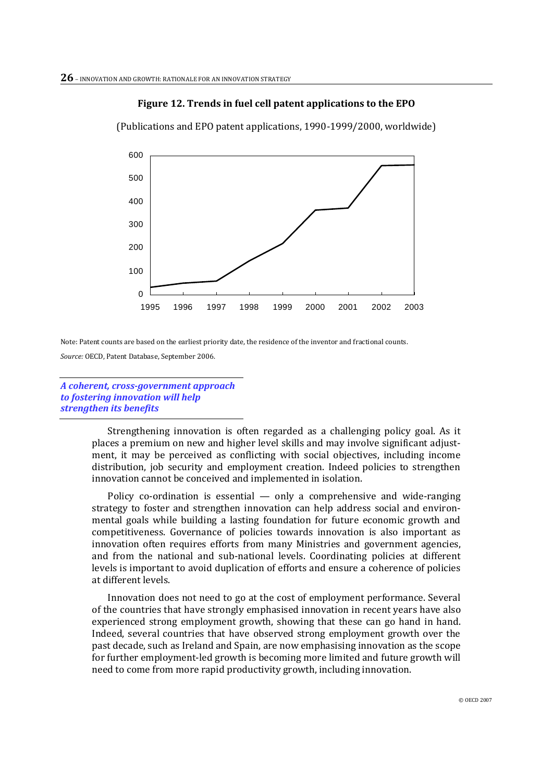#### **Figure 12. Trends in fuel cell patent applications to the EPO**

(Publications and EPO patent applications, 1990-1999/2000, worldwide)



Note: Patent counts are based on the earliest priority date, the residence of the inventor and fractional counts. *Source:* OECD, Patent Database, September 2006.

*A coherent, cross-government approach to fostering innovation will help strengthen its benefits*

> Strengthening innovation is often regarded as a challenging policy goal. As it places a premium on new and higher level skills and may involve significant adjustment, it may be perceived as conflicting with social objectives, including income distribution, job security and employment creation. Indeed policies to strengthen innovation cannot be conceived and implemented in isolation.

> Policy co-ordination is essential  $-$  only a comprehensive and wide-ranging strategy to foster and strengthen innovation can help address social and environmental goals while building a lasting foundation for future economic growth and competitiveness. Governance of policies towards innovation is also important as innovation often requires efforts from many Ministries and government agencies, and from the national and sub-national levels. Coordinating policies at different levels is important to avoid duplication of efforts and ensure a coherence of policies at different levels.

> Innovation does not need to go at the cost of employment performance. Several of the countries that have strongly emphasised innovation in recent years have also experienced strong employment growth, showing that these can go hand in hand. Indeed, several countries that have observed strong employment growth over the past decade, such as Ireland and Spain, are now emphasising innovation as the scope for further employment-led growth is becoming more limited and future growth will need to come from more rapid productivity growth, including innovation.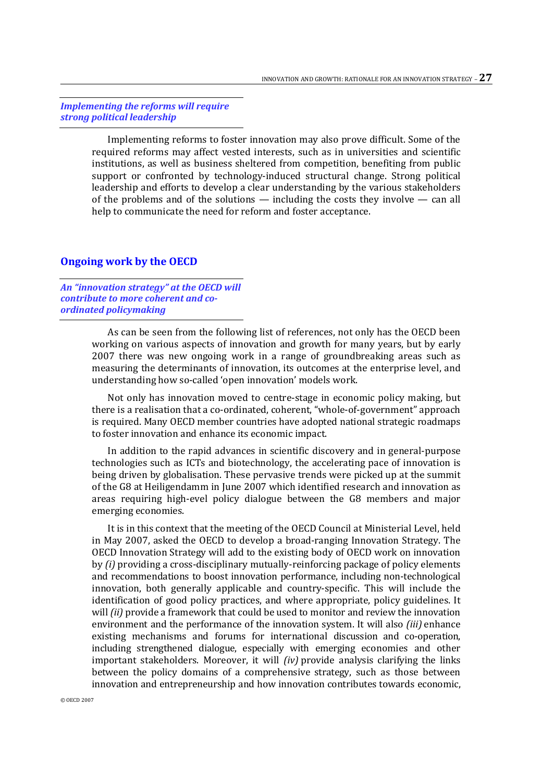*Implementing the reforms will require strong political leadership*

> Implementing reforms to foster innovation may also prove difficult. Some of the required reforms may affect vested interests, such as in universities and scientific institutions, as well as business sheltered from competition, benefiting from public support or confronted by technology-induced structural change. Strong political leadership and efforts to develop a clear understanding by the various stakeholders of the problems and of the solutions — including the costs they involve — can all help to communicate the need for reform and foster acceptance.

#### **Ongoing work by the OECD**

*An "innovation strategy" at the OECD will contribute to more coherent and coordinated policymaking*

> As can be seen from the following list of references, not only has the OECD been working on various aspects of innovation and growth for many years, but by early 2007 there was new ongoing work in a range of groundbreaking areas such as measuring the determinants of innovation, its outcomes at the enterprise level, and understanding how so-called 'open innovation' models work.

> Not only has innovation moved to centre-stage in economic policy making, but there is a realisation that a co-ordinated, coherent, "whole-of-government" approach is required. Many OECD member countries have adopted national strategic roadmaps to foster innovation and enhance its economic impact.

> In addition to the rapid advances in scientific discovery and in general-purpose technologies such as ICTs and biotechnology, the accelerating pace of innovation is being driven by globalisation. These pervasive trends were picked up at the summit of the G8 at Heiligendamm in June 2007 which identified research and innovation as areas requiring high-evel policy dialogue between the G8 members and major emerging economies.

> It is in this context that the meeting of the OECD Council at Ministerial Level, held in May 2007, asked the OECD to develop a broad-ranging Innovation Strategy. The OECD Innovation Strategy will add to the existing body of OECD work on innovation by *(i)* providing a cross-disciplinary mutually-reinforcing package of policy elements and recommendations to boost innovation performance, including non-technological innovation, both generally applicable and country-specific. This will include the identification of good policy practices, and where appropriate, policy guidelines. It will *(ii)* provide a framework that could be used to monitor and review the innovation environment and the performance of the innovation system. It will also *(iii)* enhance existing mechanisms and forums for international discussion and co-operation, including strengthened dialogue, especially with emerging economies and other important stakeholders. Moreover, it will *(iv)* provide analysis clarifying the links between the policy domains of a comprehensive strategy, such as those between innovation and entrepreneurship and how innovation contributes towards economic,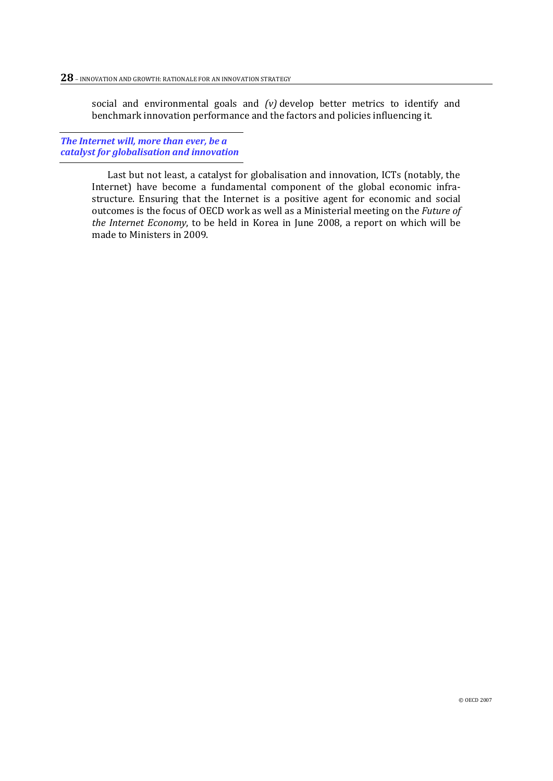social and environmental goals and *(v)* develop better metrics to identify and benchmark innovation performance and the factors and policies influencing it.

*The Internet will, more than ever, be a catalyst for globalisation and innovation*

> Last but not least, a catalyst for globalisation and innovation, ICTs (notably, the Internet) have become a fundamental component of the global economic infrastructure. Ensuring that the Internet is a positive agent for economic and social outcomes is the focus of OECD work as well as a Ministerial meeting on the *Future of the Internet Economy*, to be held in Korea in June 2008, a report on which will be made to Ministers in 2009.